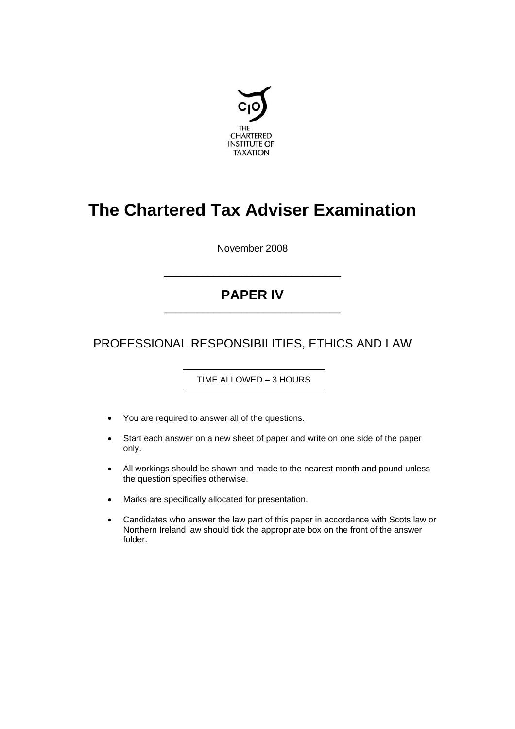

# **The Chartered Tax Adviser Examination**

November 2008

# **PAPER IV** \_\_\_\_\_\_\_\_\_\_\_\_\_\_\_\_\_\_\_\_\_\_\_\_\_\_\_\_\_\_\_\_

\_\_\_\_\_\_\_\_\_\_\_\_\_\_\_\_\_\_\_\_\_\_\_\_\_\_\_\_\_\_\_\_

PROFESSIONAL RESPONSIBILITIES, ETHICS AND LAW

TIME ALLOWED – 3 HOURS

- You are required to answer all of the questions.
- Start each answer on a new sheet of paper and write on one side of the paper only.
- All workings should be shown and made to the nearest month and pound unless the question specifies otherwise.
- Marks are specifically allocated for presentation.
- Candidates who answer the law part of this paper in accordance with Scots law or Northern Ireland law should tick the appropriate box on the front of the answer folder.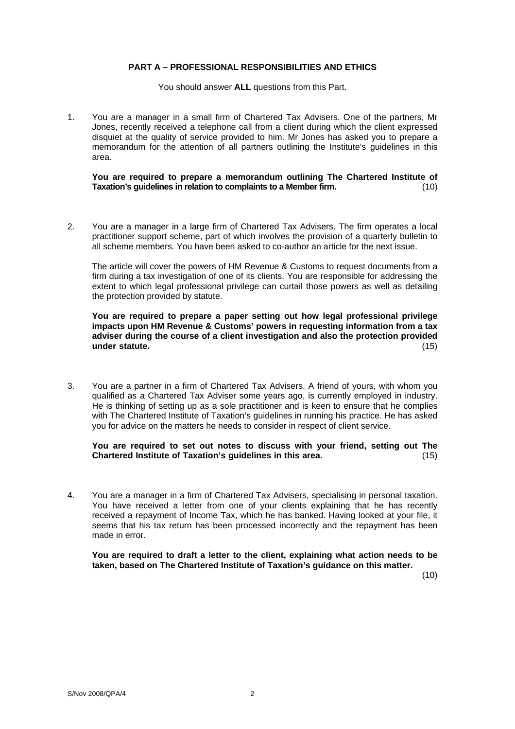# **PART A – PROFESSIONAL RESPONSIBILITIES AND ETHICS**

You should answer **ALL** questions from this Part.

1. You are a manager in a small firm of Chartered Tax Advisers. One of the partners, Mr Jones, recently received a telephone call from a client during which the client expressed disquiet at the quality of service provided to him. Mr Jones has asked you to prepare a memorandum for the attention of all partners outlining the Institute's guidelines in this area.

**You are required to prepare a memorandum outlining The Chartered Institute of Taxation's guidelines in relation to complaints to a Member firm.** (10)

2. You are a manager in a large firm of Chartered Tax Advisers. The firm operates a local practitioner support scheme, part of which involves the provision of a quarterly bulletin to all scheme members. You have been asked to co-author an article for the next issue.

The article will cover the powers of HM Revenue & Customs to request documents from a firm during a tax investigation of one of its clients. You are responsible for addressing the extent to which legal professional privilege can curtail those powers as well as detailing the protection provided by statute.

**You are required to prepare a paper setting out how legal professional privilege impacts upon HM Revenue & Customs' powers in requesting information from a tax adviser during the course of a client investigation and also the protection provided under statute.** (15) (15)

3. You are a partner in a firm of Chartered Tax Advisers. A friend of yours, with whom you qualified as a Chartered Tax Adviser some years ago, is currently employed in industry. He is thinking of setting up as a sole practitioner and is keen to ensure that he complies with The Chartered Institute of Taxation's guidelines in running his practice. He has asked you for advice on the matters he needs to consider in respect of client service.

# **You are required to set out notes to discuss with your friend, setting out The Chartered Institute of Taxation's guidelines in this area.** (15)

4. You are a manager in a firm of Chartered Tax Advisers, specialising in personal taxation. You have received a letter from one of your clients explaining that he has recently received a repayment of Income Tax, which he has banked. Having looked at your file, it seems that his tax return has been processed incorrectly and the repayment has been made in error.

**You are required to draft a letter to the client, explaining what action needs to be taken, based on The Chartered Institute of Taxation's guidance on this matter.** 

(10)